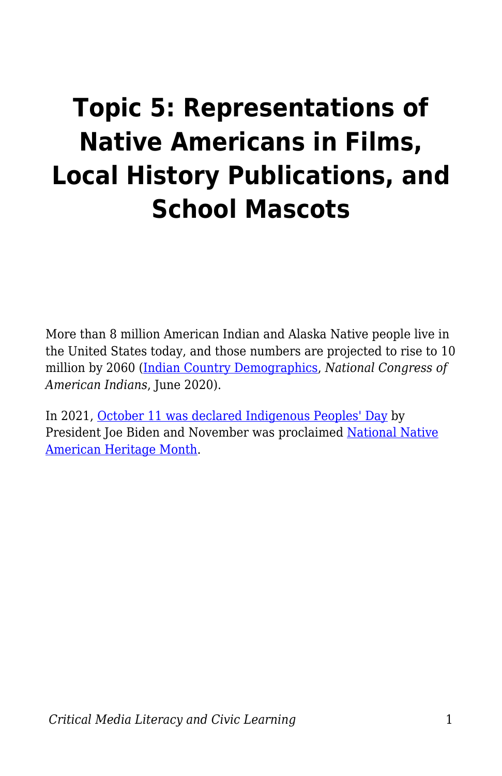# **Topic 5: Representations of Native Americans in Films, Local History Publications, and School Mascots**

More than 8 million American Indian and Alaska Native people live in the United States today, and those numbers are projected to rise to 10 million by 2060 [\(Indian Country Demographics,](https://www.ncai.org/about-tribes/demographics) *National Congress of American Indians*, June 2020).

In 2021, [October 11 was declared Indigenous Peoples' Day](https://www.whitehouse.gov/briefing-room/presidential-actions/2021/10/08/a-proclamation-indigenous-peoples-day-2021/) by President Joe Biden and November was proclaimed [National Native](https://www.whitehouse.gov/briefing-room/presidential-actions/2021/10/29/a-proclamation-on-national-native-american-heritage-month-2021/#:~:text=NOW%2C%20THEREFORE%2C%20I%2C%20JOSEPH,National%20Native%20American%20Heritage%20Month.) [American Heritage Month.](https://www.whitehouse.gov/briefing-room/presidential-actions/2021/10/29/a-proclamation-on-national-native-american-heritage-month-2021/#:~:text=NOW%2C%20THEREFORE%2C%20I%2C%20JOSEPH,National%20Native%20American%20Heritage%20Month.)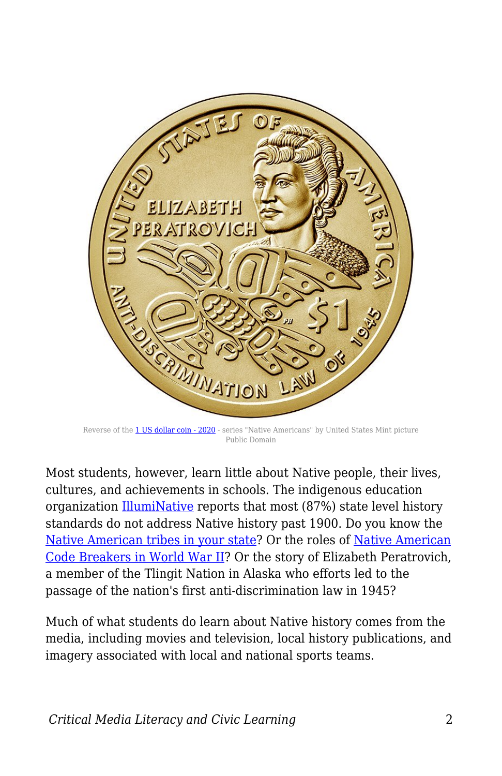

Reverse of the [1 US dollar coin - 2020](https://commons.wikimedia.org/wiki/File:US-1%24-2020-native-american-reverse.jpg) - series "Native Americans" by United States Mint picture Public Domain

Most students, however, learn little about Native people, their lives, cultures, and achievements in schools. The indigenous education organization [IllumiNative](https://illuminatives.org/nativenow/) reports that most (87%) state level history standards do not address Native history past 1900. Do you know the [Native American tribes in your state](https://www.500nations.com/tribes/Tribes_State-by-State.asp)? Or the roles of [Native American](http://resourcesforhistoryteachers.pbworks.com/w/page/125299964/The%20Navajo%20and%20Tlingit%20Code%20Talkers) [Code Breakers in World War II](http://resourcesforhistoryteachers.pbworks.com/w/page/125299964/The%20Navajo%20and%20Tlingit%20Code%20Talkers)? Or the story of Elizabeth Peratrovich, a member of the Tlingit Nation in Alaska who efforts led to the passage of the nation's first anti-discrimination law in 1945?

Much of what students do learn about Native history comes from the media, including movies and television, local history publications, and imagery associated with local and national sports teams.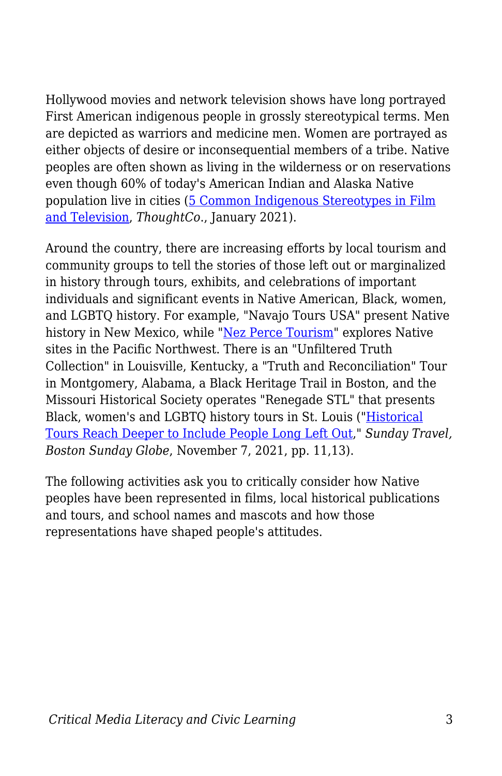Hollywood movies and network television shows have long portrayed First American indigenous people in grossly stereotypical terms. Men are depicted as warriors and medicine men. Women are portrayed as either objects of desire or inconsequential members of a tribe. Native peoples are often shown as living in the wilderness or on reservations even though 60% of today's American Indian and Alaska Native population live in cities ([5 Common Indigenous Stereotypes in Film](https://www.thoughtco.com/native-american-stereotypes-in-film-television-2834655) [and Television,](https://www.thoughtco.com/native-american-stereotypes-in-film-television-2834655) *ThoughtCo*., January 2021).

Around the country, there are increasing efforts by local tourism and community groups to tell the stories of those left out or marginalized in history through tours, exhibits, and celebrations of important individuals and significant events in Native American, Black, women, and LGBTQ history. For example, "Navajo Tours USA" present Native history in New Mexico, while ["Nez Perce Tourism](https://nezpercetraditions.com/tours/)" explores Native sites in the Pacific Northwest. There is an "Unfiltered Truth Collection" in Louisville, Kentucky, a "Truth and Reconciliation" Tour in Montgomery, Alabama, a Black Heritage Trail in Boston, and the Missouri Historical Society operates "Renegade STL" that presents Black, women's and LGBTQ history tours in St. Louis ("[Historical](https://www.msn.com/en-us/news/us/historical-tours-reach-deeper-to-include-the-people-long-left-out/ar-AAQk8hn) [Tours Reach Deeper to Include People Long Left Out](https://www.msn.com/en-us/news/us/historical-tours-reach-deeper-to-include-the-people-long-left-out/ar-AAQk8hn)," *Sunday Travel, Boston Sunday Globe*, November 7, 2021, pp. 11,13).

The following activities ask you to critically consider how Native peoples have been represented in films, local historical publications and tours, and school names and mascots and how those representations have shaped people's attitudes.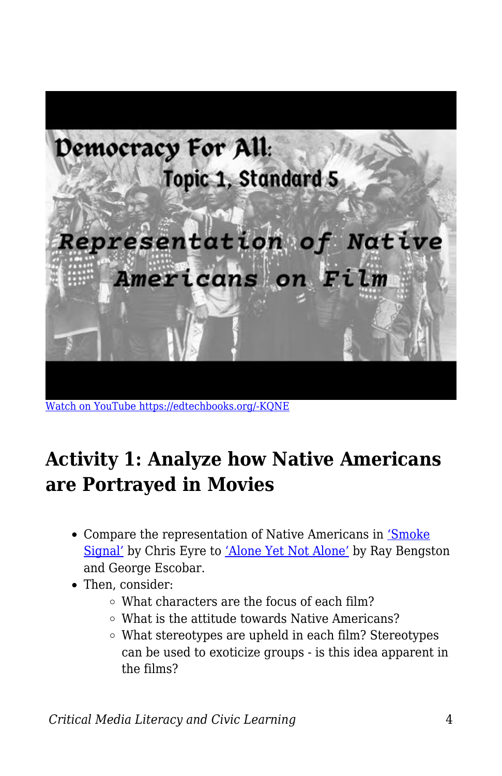

[Watch on YouTube https://edtechbooks.org/-KQNE](https://www.youtube.com/embed/Qi0Iefd5qCY?autoplay=1&rel=0&showinfo=0&modestbranding=1)

## **Activity 1: Analyze how Native Americans are Portrayed in Movies**

- Compare the representation of Native Americans in ['Smoke](https://www.youtube.com/watch?v=yzWut5-pGmg) [Signal'](https://www.youtube.com/watch?v=yzWut5-pGmg) by Chris Eyre to ['Alone Yet Not Alone'](https://www.youtube.com/watch?v=T1h3w7TQ99I) by Ray Bengston and George Escobar.
- Then, consider:
	- What characters are the focus of each film?
	- What is the attitude towards Native Americans?
	- What stereotypes are upheld in each film? Stereotypes can be used to exoticize groups - is this idea apparent in the films?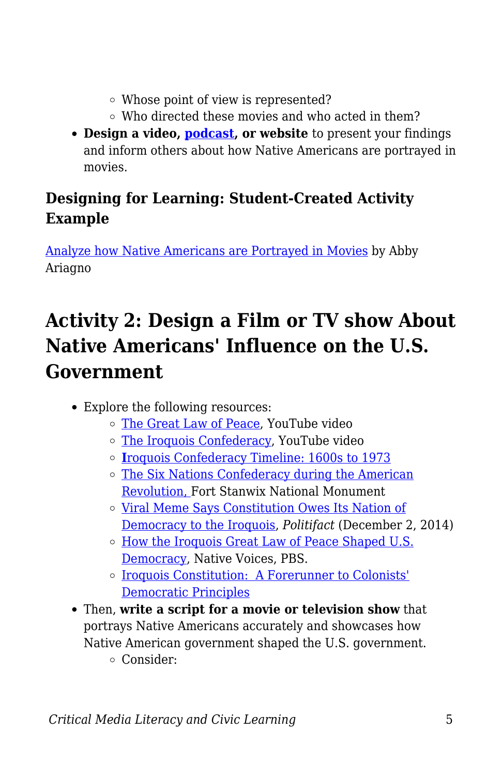- Whose point of view is represented?
- Who directed these movies and who acted in them?
- **Design a video, [podcast,](https://docs.google.com/document/d/1YMVhXBhqUU4qDBLO1jYNpMG0IzAl_YLSJ3OndOm6C6k/edit?usp=sharing) or website** to present your findings and inform others about how Native Americans are portrayed in movies.

### **Designing for Learning: Student-Created Activity Example**

[Analyze how Native Americans are Portrayed in Movies](https://docs.google.com/document/d/13QlJI9_-y-l6Ndfe9pw6oBSd_6DKlQRrUYzC2wxL8Gk/edit?usp=sharing) by Abby Ariagno

# **Activity 2: Design a Film or TV show About Native Americans' Influence on the U.S. Government**

- Explore the following resources:
	- [The Great Law of Peace](https://www.youtube.com/watch?v=79RApCgwZFw), YouTube video
	- [The Iroquois Confederacy](https://www.youtube.com/watch?v=u4_vwKyeG58), YouTube video
	- **[I](https://www.sutori.com/story/iroquois-confederacy-timeline--VhE4AckWZrpnvS74aNb6bPXW)**[roquois Confederacy Timeline: 1600s to 1973](https://www.sutori.com/story/iroquois-confederacy-timeline--VhE4AckWZrpnvS74aNb6bPXW)
	- o [The Six Nations Confederacy during the American](https://www.nps.gov/fost/learn/historyculture/the-six-nations-confederacy-during-the-american-revolution.htm) [Revolution, F](https://www.nps.gov/fost/learn/historyculture/the-six-nations-confederacy-during-the-american-revolution.htm)ort Stanwix National Monument
	- [Viral Meme Says Constitution Owes Its Nation of](http://www.politifact.com/truth-o-meter/statements/2014/dec/02/facebook-posts/viral-meme-says-constitution-owes-its-notion-democ/) [Democracy to the Iroquois](http://www.politifact.com/truth-o-meter/statements/2014/dec/02/facebook-posts/viral-meme-says-constitution-owes-its-notion-democ/), *Politifact* (December 2, 2014)
	- $\circ$  [How the Iroquois Great Law of Peace Shaped U.S.](https://www.pbs.org/native-america/blogs/native-voices/how-the-iroquois-great-law-of-peace-shaped-us-democracy/) [Democracy](https://www.pbs.org/native-america/blogs/native-voices/how-the-iroquois-great-law-of-peace-shaped-us-democracy/), Native Voices, PBS.
	- [Iroquois Constitution: A Forerunner to Colonists'](https://www.nytimes.com/1987/06/28/us/iroquois-constitution-a-forerunner-to-colonists-democratic-principles.html) [Democratic Principles](https://www.nytimes.com/1987/06/28/us/iroquois-constitution-a-forerunner-to-colonists-democratic-principles.html)
- Then, **write a script for a movie or television show** that portrays Native Americans accurately and showcases how Native American government shaped the U.S. government. Consider: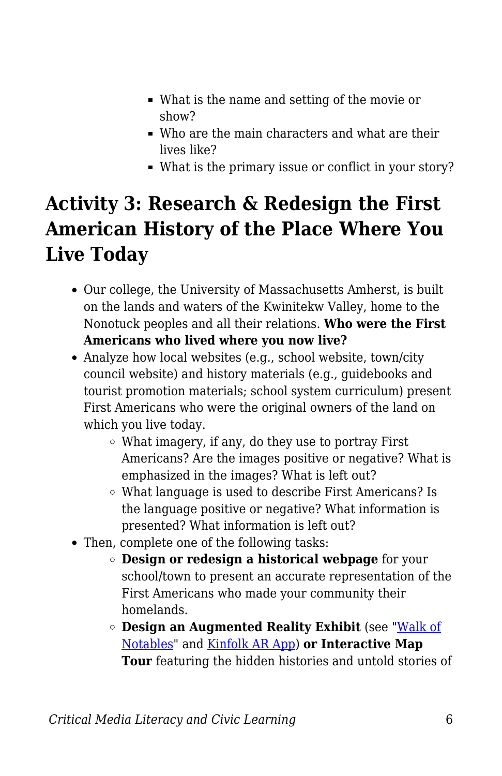- What is the name and setting of the movie or show?
- Who are the main characters and what are their lives like?
- What is the primary issue or conflict in your story?

# **Activity 3: Research & Redesign the First American History of the Place Where You Live Today**

- Our college, the University of Massachusetts Amherst, is built on the lands and waters of the Kwinitekw Valley, home to the Nonotuck peoples and all their relations. **Who were the First Americans who lived where you now live?**
- Analyze how local websites (e.g., school website, town/city council website) and history materials (e.g., guidebooks and tourist promotion materials; school system curriculum) present First Americans who were the original owners of the land on which you live today.
	- What imagery, if any, do they use to portray First Americans? Are the images positive or negative? What is emphasized in the images? What is left out?
	- What language is used to describe First Americans? Is the language positive or negative? What information is presented? What information is left out?
- Then, complete one of the following tasks:
	- **Design or redesign a historical webpage** for your school/town to present an accurate representation of the First Americans who made your community their homelands.
	- **Design an Augmented Reality Exhibit** (see ["Walk of](https://twitter.com/dcolvl/status/1279209788958597121) [Notables"](https://twitter.com/dcolvl/status/1279209788958597121) and [Kinfolk AR App](https://apps.apple.com/us/app/kinfolk-ar/id1510605922)) **or Interactive Map Tour** featuring the hidden histories and untold stories of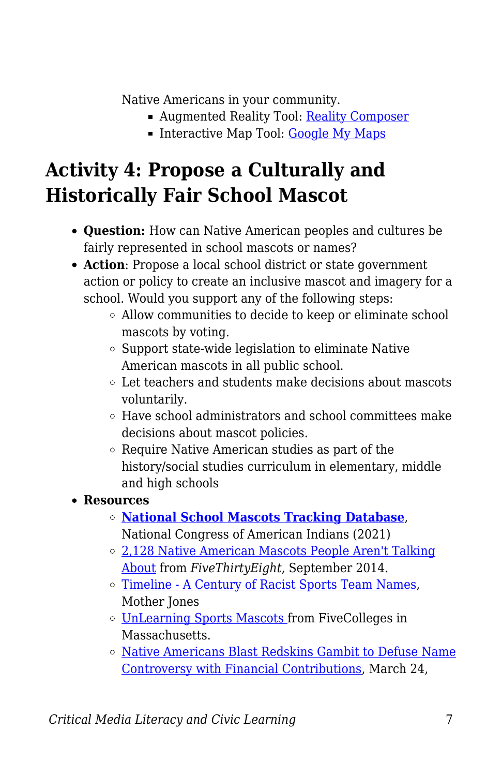Native Americans in your community.

- Augmented Reality Tool: [Reality Composer](https://apps.apple.com/au/app/reality-composer/id1462358802)
- Interactive Map Tool: [Google My Maps](https://www.google.com/maps/about/mymaps/)

## **Activity 4: Propose a Culturally and Historically Fair School Mascot**

- **Question:** How can Native American peoples and cultures be fairly represented in school mascots or names?
- **Action**: Propose a local school district or state government action or policy to create an inclusive mascot and imagery for a school. Would you support any of the following steps:
	- Allow communities to decide to keep or eliminate school mascots by voting.
	- $\circ$  Support state-wide legislation to eliminate Native American mascots in all public school.
	- Let teachers and students make decisions about mascots voluntarily.
	- Have school administrators and school committees make decisions about mascot policies.
	- Require Native American studies as part of the history/social studies curriculum in elementary, middle and high schools

#### **Resources**

- **[National School Mascots Tracking Database](https://www.ncai.org/NCAI_School_Mascot_Tracking_Database_-_Overview_and_Numbers.pdf)**, National Congress of American Indians (2021)
- [2,128 Native American Mascots People Aren't Talking](http://fivethirtyeight.com/features/the-2128-native-american-mascots-people-arent-talking-about/) [About](http://fivethirtyeight.com/features/the-2128-native-american-mascots-people-arent-talking-about/) from *FiveThirtyEight*, September 2014.
- [Timeline A Century of Racist Sports Team Names,](http://www.motherjones.com/politics/2013/11/timeline-history-offensive-sports-mascots-redskins-snyder/) Mother Jones
- [UnLearning Sports Mascots f](https://www.fivecolleges.edu/system/files/attachments/Unlearning-Lesson%20Plan.pdf)rom FiveColleges in **Massachusetts**
- [Native Americans Blast Redskins Gambit to Defuse Name](https://thinkprogress.org/native-americans-blast-redskins-gambit-to-defuse-name-controversy-with-financial-contributions-27b4c9a756b1/) [Controversy with Financial Contributions](https://thinkprogress.org/native-americans-blast-redskins-gambit-to-defuse-name-controversy-with-financial-contributions-27b4c9a756b1/), March 24,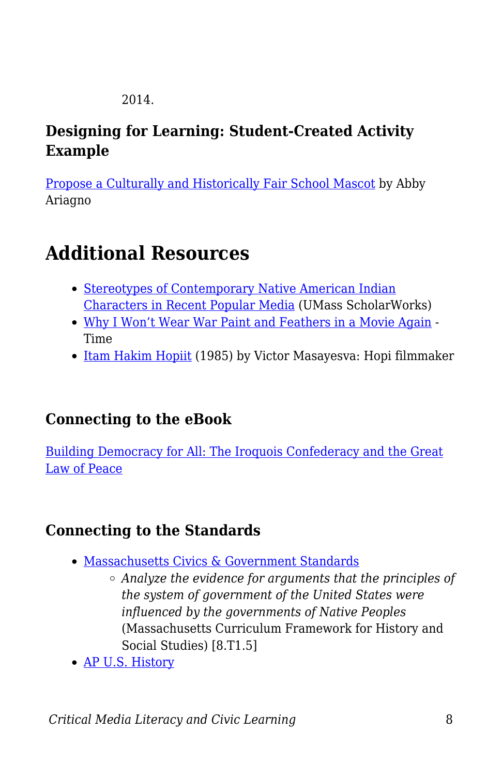2014.

### **Designing for Learning: Student-Created Activity Example**

[Propose a Culturally and Historically Fair School Mascot](https://docs.google.com/document/d/1ujXYfR1ZWcawZfS01AWMBJGUQrdPpUjEehbgjvAmyJ8/edit?usp=sharing) by Abby Ariagno

# **Additional Resources**

- [Stereotypes of Contemporary Native American Indian](https://scholarworks.umass.edu/cgi/viewcontent.cgi?article=1941&context=theses) [Characters in Recent Popular Media](https://scholarworks.umass.edu/cgi/viewcontent.cgi?article=1941&context=theses) (UMass ScholarWorks)
- [Why I Won't Wear War Paint and Feathers in a Movie Again](https://time.com/3916680/native-american-hollywood-film/)  Time
- [Itam](http://www.environmentandsociety.org/mml/itam-hakim-hopiit) [Hakim](http://www.environmentandsociety.org/mml/itam-hakim-hopiit) [Hopiit](http://www.environmentandsociety.org/mml/itam-hakim-hopiit) (1985) by Victor Masayesva: Hopi filmmaker

### **Connecting to the eBook**

[Building Democracy for All: The Iroquois Confederacy and the Great](https://edtechbooks.org/democracy/nativeinfluence#h2_rqqyV) [Law of Peace](https://edtechbooks.org/democracy/nativeinfluence#h2_rqqyV)

### **Connecting to the Standards**

- [Massachusetts Civics & Government Standards](https://www.doe.mass.edu/frameworks/hss/2018-12.pdf)
	- *Analyze the evidence for arguments that the principles of the system of government of the United States were influenced by the governments of Native Peoples* (Massachusetts Curriculum Framework for History and Social Studies) [8.T1.5]
- [AP U.S. History](https://secure-media.collegeboard.org/digitalServices/pdf/ap/ap-us-history-course-and-exam-description.pdf)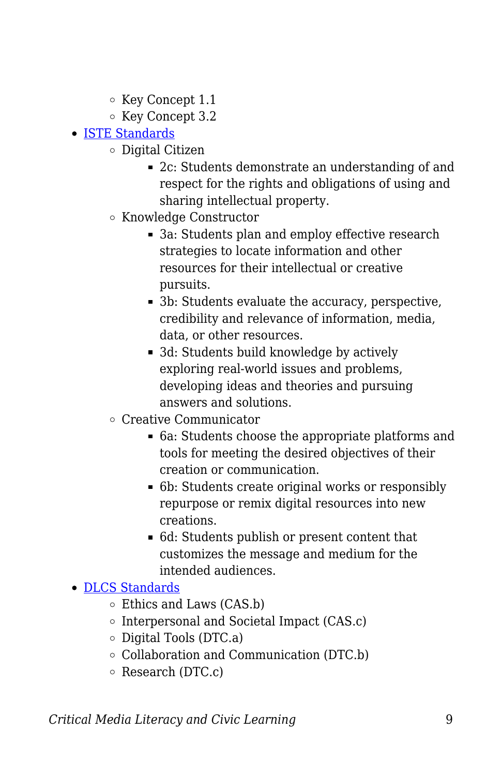- Key Concept 1.1
- Key Concept 3.2
- [ISTE Standards](https://www.iste.org/standards/for-students)
	- Digital Citizen
		- 2c: Students demonstrate an understanding of and respect for the rights and obligations of using and sharing intellectual property.
	- Knowledge Constructor
		- 3a: Students plan and employ effective research strategies to locate information and other resources for their intellectual or creative pursuits.
		- 3b: Students evaluate the accuracy, perspective, credibility and relevance of information, media, data, or other resources.
		- 3d: Students build knowledge by actively exploring real-world issues and problems, developing ideas and theories and pursuing answers and solutions.
	- Creative Communicator
		- 6a: Students choose the appropriate platforms and tools for meeting the desired objectives of their creation or communication.
		- 6b: Students create original works or responsibly repurpose or remix digital resources into new creations.
		- 6d: Students publish or present content that customizes the message and medium for the intended audiences.

#### [DLCS Standards](https://www.doe.mass.edu/stem/dlcs/?section=planningtools)

- Ethics and Laws (CAS.b)
- $\circ$  Interpersonal and Societal Impact (CAS.c)
- $\circ$  Digital Tools (DTC.a)
- Collaboration and Communication (DTC.b)
- $\circ$  Research (DTC.c)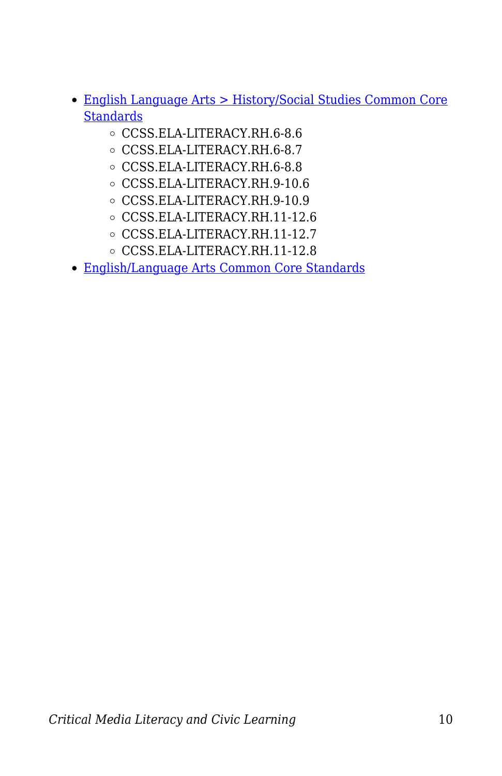- [English Language Arts > History/Social Studies Common Core](http://www.corestandards.org/ELA-Literacy/RH/introduction/) **[Standards](http://www.corestandards.org/ELA-Literacy/RH/introduction/)** 
	- CCSS.ELA-LITERACY.RH.6-8.6
	- CCSS.ELA-LITERACY.RH.6-8.7
	- CCSS.ELA-LITERACY.RH.6-8.8
	- CCSS.ELA-LITERACY.RH.9-10.6
	- CCSS.ELA-LITERACY.RH.9-10.9
	- CCSS.ELA-LITERACY.RH.11-12.6
	- CCSS.ELA-LITERACY.RH.11-12.7
	- CCSS.ELA-LITERACY.RH.11-12.8
- [English/Language Arts Common Core Standards](http://www.corestandards.org/ELA-Literacy/)